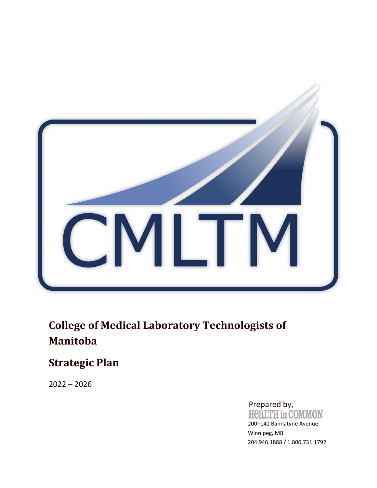

# **College of Medical Laboratory Technologists of Manitoba**

# **Strategic Plan**

2022 – 2026

Prepared by,<br>HealTH in COMMON

200–141 Bannatyne Avenue Winnipeg, MB 204.946.1888 / 1.800.731.1792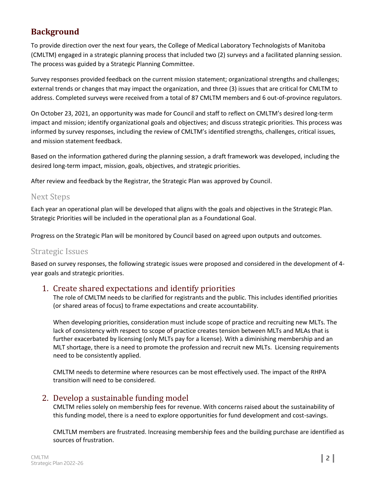# **Background**

To provide direction over the next four years, the College of Medical Laboratory Technologists of Manitoba (CMLTM) engaged in a strategic planning process that included two (2) surveys and a facilitated planning session. The process was guided by a Strategic Planning Committee.

Survey responses provided feedback on the current mission statement; organizational strengths and challenges; external trends or changes that may impact the organization, and three (3) issues that are critical for CMLTM to address. Completed surveys were received from a total of 87 CMLTM members and 6 out-of-province regulators.

On October 23, 2021, an opportunity was made for Council and staff to reflect on CMLTM's desired long-term impact and mission; identify organizational goals and objectives; and discuss strategic priorities. This process was informed by survey responses, including the review of CMLTM's identified strengths, challenges, critical issues, and mission statement feedback.

Based on the information gathered during the planning session, a draft framework was developed, including the desired long-term impact, mission, goals, objectives, and strategic priorities.

After review and feedback by the Registrar, the Strategic Plan was approved by Council.

## Next Steps

Each year an operational plan will be developed that aligns with the goals and objectives in the Strategic Plan. Strategic Priorities will be included in the operational plan as a Foundational Goal.

Progress on the Strategic Plan will be monitored by Council based on agreed upon outputs and outcomes.

## Strategic Issues

Based on survey responses, the following strategic issues were proposed and considered in the development of 4 year goals and strategic priorities.

## 1. Create shared expectations and identify priorities

The role of CMLTM needs to be clarified for registrants and the public. This includes identified priorities (or shared areas of focus) to frame expectations and create accountability.

When developing priorities, consideration must include scope of practice and recruiting new MLTs. The lack of consistency with respect to scope of practice creates tension between MLTs and MLAs that is further exacerbated by licensing (only MLTs pay for a license). With a diminishing membership and an MLT shortage, there is a need to promote the profession and recruit new MLTs. Licensing requirements need to be consistently applied.

CMLTM needs to determine where resources can be most effectively used. The impact of the RHPA transition will need to be considered.

## 2. Develop a sustainable funding model

CMLTM relies solely on membership fees for revenue. With concerns raised about the sustainability of this funding model, there is a need to explore opportunities for fund development and cost-savings.

CMLTLM members are frustrated. Increasing membership fees and the building purchase are identified as sources of frustration.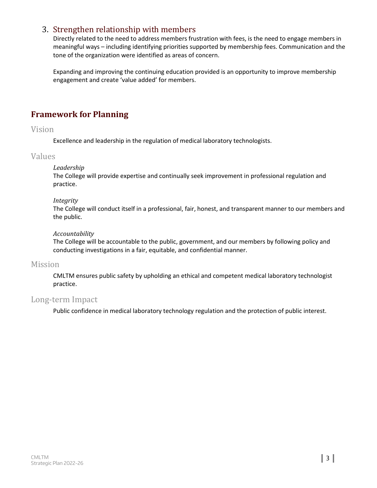## 3. Strengthen relationship with members

Directly related to the need to address members frustration with fees, is the need to engage members in meaningful ways – including identifying priorities supported by membership fees. Communication and the tone of the organization were identified as areas of concern.

Expanding and improving the continuing education provided is an opportunity to improve membership engagement and create 'value added' for members.

## **Framework for Planning**

#### Vision

Excellence and leadership in the regulation of medical laboratory technologists.

## Values

#### *Leadership*

The College will provide expertise and continually seek improvement in professional regulation and practice.

#### *Integrity*

The College will conduct itself in a professional, fair, honest, and transparent manner to our members and the public.

#### *Accountability*

The College will be accountable to the public, government, and our members by following policy and conducting investigations in a fair, equitable, and confidential manner.

#### Mission

CMLTM ensures public safety by upholding an ethical and competent medical laboratory technologist practice.

## Long-term Impact

Public confidence in medical laboratory technology regulation and the protection of public interest.